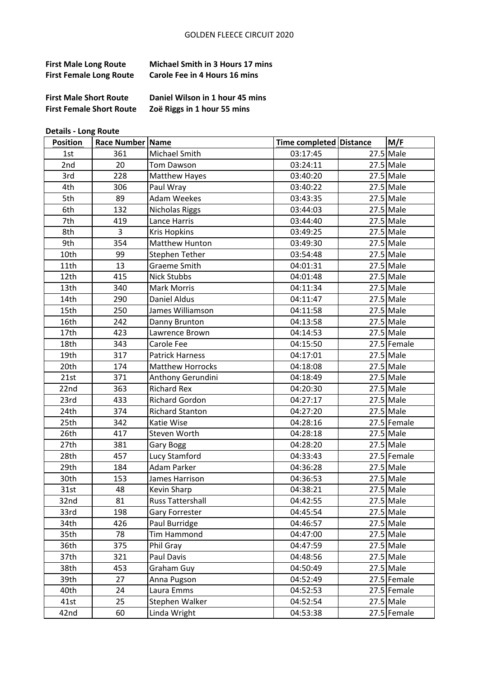| <b>First Male Long Route</b>   | <b>Michael Smith in 3 Hours 17 mins</b> |
|--------------------------------|-----------------------------------------|
| <b>First Female Long Route</b> | Carole Fee in 4 Hours 16 mins           |
|                                |                                         |

First Female Short Route Zoë Riggs in 1 hour 55 mins

**First Male Short Route Daniel Wilson in 1 hour 45 mins** 

**Details - Long Route** 

| <b>Position</b> | Race Number   Name |                         | Time completed Distance | M/F           |
|-----------------|--------------------|-------------------------|-------------------------|---------------|
| 1st             | 361                | Michael Smith           | 03:17:45                | $27.5$ Male   |
| 2nd             | 20                 | <b>Tom Dawson</b>       | 03:24:11                | $27.5$ Male   |
| 3rd             | 228                | <b>Matthew Hayes</b>    | 03:40:20                | $27.5$ Male   |
| 4th             | 306                | Paul Wray               | 03:40:22                | $27.5$ Male   |
| 5th             | 89                 | <b>Adam Weekes</b>      | 03:43:35                | $27.5$ Male   |
| 6th             | 132                | <b>Nicholas Riggs</b>   | 03:44:03                | $27.5$ Male   |
| 7th             | 419                | Lance Harris            | 03:44:40                | $27.5$ Male   |
| 8th             | $\overline{3}$     | <b>Kris Hopkins</b>     | 03:49:25                | $27.5$ Male   |
| 9th             | 354                | <b>Matthew Hunton</b>   | 03:49:30                | $27.5$ Male   |
| 10th            | 99                 | Stephen Tether          | 03:54:48                | $27.5$ Male   |
| 11th            | 13                 | Graeme Smith            | 04:01:31                | $27.5$ Male   |
| 12th            | 415                | <b>Nick Stubbs</b>      | 04:01:48                | $27.5$ Male   |
| 13th            | 340                | <b>Mark Morris</b>      | 04:11:34                | $27.5$ Male   |
| 14th            | 290                | Daniel Aldus            | 04:11:47                | $27.5$ Male   |
| 15th            | 250                | James Williamson        | 04:11:58                | $27.5$ Male   |
| 16th            | 242                | Danny Brunton           | 04:13:58                | $27.5$ Male   |
| 17th            | 423                | Lawrence Brown          | 04:14:53                | $27.5$ Male   |
| 18th            | 343                | Carole Fee              | 04:15:50                | $27.5$ Female |
| 19th            | 317                | <b>Patrick Harness</b>  | 04:17:01                | $27.5$ Male   |
| 20th            | 174                | <b>Matthew Horrocks</b> | 04:18:08                | $27.5$ Male   |
| 21st            | 371                | Anthony Gerundini       | 04:18:49                | $27.5$ Male   |
| 22nd            | 363                | <b>Richard Rex</b>      | 04:20:30                | $27.5$ Male   |
| 23rd            | 433                | <b>Richard Gordon</b>   | 04:27:17                | $27.5$ Male   |
| 24th            | 374                | <b>Richard Stanton</b>  | 04:27:20                | $27.5$ Male   |
| 25th            | 342                | Katie Wise              | 04:28:16                | 27.5 Female   |
| 26th            | 417                | Steven Worth            | 04:28:18                | $27.5$ Male   |
| 27th            | 381                | Gary Bogg               | 04:28:20                | $27.5$ Male   |
| 28th            | 457                | Lucy Stamford           | 04:33:43                | 27.5 Female   |
| 29th            | 184                | Adam Parker             | 04:36:28                | $27.5$ Male   |
| 30th            | 153                | James Harrison          | 04:36:53                | $27.5$ Male   |
| 31st            | 48                 | Kevin Sharp             | 04:38:21                | $27.5$ Male   |
| 32nd            | 81                 | Russ Tattershall        | 04:42:55                | $27.5$ Male   |
| 33rd            | 198                | Gary Forrester          | 04:45:54                | $27.5$ Male   |
| 34th            | 426                | Paul Burridge           | 04:46:57                | $27.5$ Male   |
| 35th            | 78                 | Tim Hammond             | 04:47:00                | $27.5$ Male   |
| 36th            | 375                | Phil Gray               | 04:47:59                | $27.5$ Male   |
| 37th            | 321                | Paul Davis              | 04:48:56                | $27.5$ Male   |
| 38th            | 453                | Graham Guy              | 04:50:49                | $27.5$ Male   |
| 39th            | 27                 | Anna Pugson             | 04:52:49                | 27.5 Female   |
| 40th            | 24                 | Laura Emms              | 04:52:53                | 27.5 Female   |
| 41st            | 25                 | Stephen Walker          | 04:52:54                | $27.5$ Male   |
| 42nd            | 60                 | Linda Wright            | 04:53:38                | 27.5 Female   |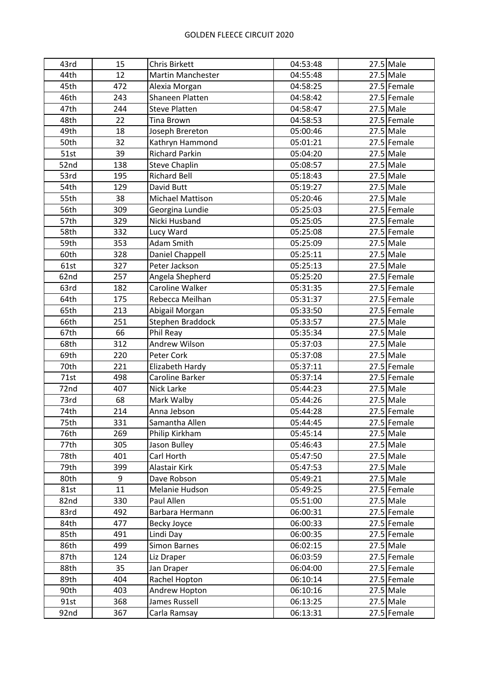| 43rd | 15  | <b>Chris Birkett</b>     | 04:53:48 | $27.5$ Male   |
|------|-----|--------------------------|----------|---------------|
| 44th | 12  | <b>Martin Manchester</b> | 04:55:48 | $27.5$ Male   |
| 45th | 472 | Alexia Morgan            | 04:58:25 | 27.5 Female   |
| 46th | 243 | Shaneen Platten          | 04:58:42 | 27.5 Female   |
| 47th | 244 | <b>Steve Platten</b>     | 04:58:47 | $27.5$ Male   |
| 48th | 22  | <b>Tina Brown</b>        | 04:58:53 | 27.5 Female   |
| 49th | 18  | Joseph Brereton          | 05:00:46 | $27.5$ Male   |
| 50th | 32  | Kathryn Hammond          | 05:01:21 | 27.5 Female   |
| 51st | 39  | <b>Richard Parkin</b>    | 05:04:20 | $27.5$ Male   |
| 52nd | 138 | <b>Steve Chaplin</b>     | 05:08:57 | $27.5$ Male   |
| 53rd | 195 | <b>Richard Bell</b>      | 05:18:43 | $27.5$ Male   |
| 54th | 129 | David Butt               | 05:19:27 | $27.5$ Male   |
| 55th | 38  | <b>Michael Mattison</b>  | 05:20:46 | $27.5$ Male   |
| 56th | 309 | Georgina Lundie          | 05:25:03 | $27.5$ Female |
| 57th | 329 | Nicki Husband            | 05:25:05 | 27.5 Female   |
| 58th | 332 | Lucy Ward                | 05:25:08 | 27.5 Female   |
| 59th | 353 | Adam Smith               | 05:25:09 | $27.5$ Male   |
| 60th | 328 | Daniel Chappell          | 05:25:11 | $27.5$ Male   |
| 61st | 327 | Peter Jackson            | 05:25:13 | $27.5$ Male   |
| 62nd | 257 | Angela Shepherd          | 05:25:20 | 27.5 Female   |
| 63rd | 182 | <b>Caroline Walker</b>   | 05:31:35 | 27.5 Female   |
| 64th | 175 | Rebecca Meilhan          | 05:31:37 | 27.5 Female   |
| 65th | 213 | Abigail Morgan           | 05:33:50 | 27.5 Female   |
| 66th | 251 | Stephen Braddock         | 05:33:57 | $27.5$ Male   |
| 67th | 66  | Phil Reay                | 05:35:34 | $27.5$ Male   |
| 68th | 312 | Andrew Wilson            | 05:37:03 | $27.5$ Male   |
| 69th | 220 | Peter Cork               | 05:37:08 | $27.5$ Male   |
| 70th | 221 | Elizabeth Hardy          | 05:37:11 | 27.5 Female   |
| 71st | 498 | Caroline Barker          | 05:37:14 | 27.5 Female   |
| 72nd | 407 | Nick Larke               | 05:44:23 | $27.5$ Male   |
| 73rd | 68  | Mark Walby               | 05:44:26 | $27.5$ Male   |
| 74th | 214 | Anna Jebson              | 05:44:28 | 27.5 Female   |
| 75th | 331 | Samantha Allen           | 05:44:45 | 27.5 Female   |
| 76th | 269 | Philip Kirkham           | 05:45:14 | $27.5$ Male   |
| 77th | 305 | Jason Bulley             | 05:46:43 | $27.5$ Male   |
| 78th | 401 | Carl Horth               | 05:47:50 | $27.5$ Male   |
| 79th | 399 | Alastair Kirk            | 05:47:53 | $27.5$ Male   |
| 80th | 9   | Dave Robson              | 05:49:21 | $27.5$ Male   |
| 81st | 11  | Melanie Hudson           | 05:49:25 | 27.5 Female   |
| 82nd | 330 | Paul Allen               | 05:51:00 | $27.5$ Male   |
| 83rd | 492 | Barbara Hermann          | 06:00:31 | 27.5 Female   |
| 84th | 477 | Becky Joyce              | 06:00:33 | 27.5 Female   |
| 85th | 491 | Lindi Day                | 06:00:35 | 27.5 Female   |
| 86th | 499 | <b>Simon Barnes</b>      | 06:02:15 | 27.5 Male     |
| 87th | 124 | Liz Draper               | 06:03:59 | 27.5 Female   |
| 88th | 35  | Jan Draper               | 06:04:00 | 27.5 Female   |
| 89th | 404 | Rachel Hopton            | 06:10:14 | 27.5 Female   |
| 90th | 403 | Andrew Hopton            | 06:10:16 | $27.5$ Male   |
| 91st | 368 | James Russell            | 06:13:25 | $27.5$ Male   |
| 92nd | 367 | Carla Ramsay             | 06:13:31 | 27.5 Female   |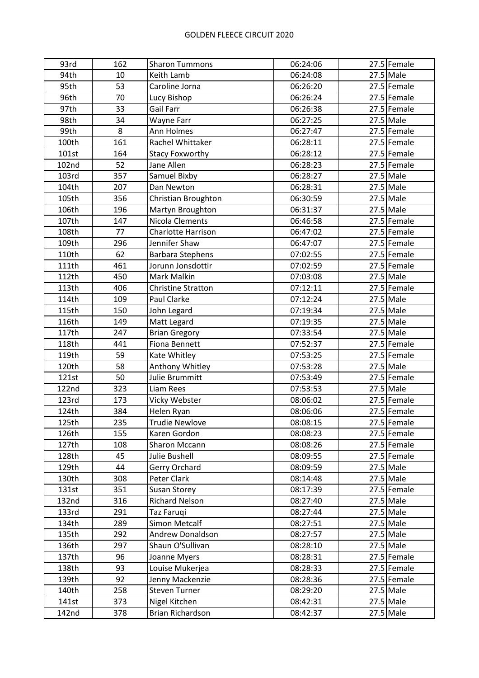| 93rd  | 162 | <b>Sharon Tummons</b>     | 06:24:06 | 27.5 Female   |
|-------|-----|---------------------------|----------|---------------|
| 94th  | 10  | Keith Lamb                | 06:24:08 | $27.5$ Male   |
| 95th  | 53  | Caroline Jorna            | 06:26:20 | 27.5 Female   |
| 96th  | 70  | Lucy Bishop               | 06:26:24 | 27.5 Female   |
| 97th  | 33  | Gail Farr                 | 06:26:38 | 27.5 Female   |
| 98th  | 34  | Wayne Farr                | 06:27:25 | $27.5$ Male   |
| 99th  | 8   | Ann Holmes                | 06:27:47 | $27.5$ Female |
| 100th | 161 | Rachel Whittaker          | 06:28:11 | 27.5 Female   |
| 101st | 164 | <b>Stacy Foxworthy</b>    | 06:28:12 | 27.5 Female   |
| 102nd | 52  | Jane Allen                | 06:28:23 | 27.5 Female   |
| 103rd | 357 | Samuel Bixby              | 06:28:27 | $27.5$ Male   |
| 104th | 207 | Dan Newton                | 06:28:31 | $27.5$ Male   |
| 105th | 356 | Christian Broughton       | 06:30:59 | $27.5$ Male   |
| 106th | 196 | Martyn Broughton          | 06:31:37 | $27.5$ Male   |
| 107th | 147 | Nicola Clements           | 06:46:58 | 27.5 Female   |
| 108th | 77  | <b>Charlotte Harrison</b> | 06:47:02 | 27.5 Female   |
| 109th | 296 | Jennifer Shaw             | 06:47:07 | 27.5 Female   |
| 110th | 62  | <b>Barbara Stephens</b>   | 07:02:55 | 27.5 Female   |
| 111th | 461 | Jorunn Jonsdottir         | 07:02:59 | 27.5 Female   |
| 112th | 450 | Mark Malkin               | 07:03:08 | $27.5$ Male   |
| 113th | 406 | <b>Christine Stratton</b> | 07:12:11 | 27.5 Female   |
| 114th | 109 | Paul Clarke               | 07:12:24 | $27.5$ Male   |
| 115th | 150 | John Legard               | 07:19:34 | $27.5$ Male   |
| 116th | 149 | Matt Legard               | 07:19:35 | $27.5$ Male   |
| 117th | 247 | <b>Brian Gregory</b>      | 07:33:54 | $27.5$ Male   |
| 118th | 441 | Fiona Bennett             | 07:52:37 | $27.5$ Female |
| 119th | 59  | Kate Whitley              | 07:53:25 | 27.5 Female   |
| 120th | 58  | Anthony Whitley           | 07:53:28 | $27.5$ Male   |
| 121st | 50  | Julie Brummitt            | 07:53:49 | 27.5 Female   |
| 122nd | 323 | Liam Rees                 | 07:53:53 | $27.5$ Male   |
| 123rd | 173 | Vicky Webster             | 08:06:02 | 27.5 Female   |
| 124th | 384 | Helen Ryan                | 08:06:06 | 27.5 Female   |
| 125th | 235 | <b>Trudie Newlove</b>     | 08:08:15 | 27.5 Female   |
| 126th | 155 | Karen Gordon              | 08:08:23 | 27.5 Female   |
| 127th | 108 | Sharon Mccann             | 08:08:26 | 27.5 Female   |
| 128th | 45  | Julie Bushell             | 08:09:55 | 27.5 Female   |
| 129th | 44  | Gerry Orchard             | 08:09:59 | $27.5$ Male   |
| 130th | 308 | Peter Clark               | 08:14:48 | $27.5$ Male   |
| 131st | 351 | Susan Storey              | 08:17:39 | 27.5 Female   |
| 132nd | 316 | Richard Nelson            | 08:27:40 | $27.5$ Male   |
| 133rd | 291 | Taz Faruqi                | 08:27:44 | 27.5 Male     |
| 134th | 289 | Simon Metcalf             | 08:27:51 | $27.5$ Male   |
| 135th | 292 | <b>Andrew Donaldson</b>   | 08:27:57 | $27.5$ Male   |
| 136th | 297 | Shaun O'Sullivan          | 08:28:10 | 27.5 Male     |
| 137th | 96  | Joanne Myers              | 08:28:31 | 27.5 Female   |
| 138th | 93  | Louise Mukerjea           | 08:28:33 | 27.5 Female   |
| 139th | 92  | Jenny Mackenzie           | 08:28:36 | 27.5 Female   |
| 140th | 258 | <b>Steven Turner</b>      | 08:29:20 | $27.5$ Male   |
| 141st | 373 | Nigel Kitchen             | 08:42:31 | $27.5$ Male   |
| 142nd | 378 | Brian Richardson          | 08:42:37 | $27.5$ Male   |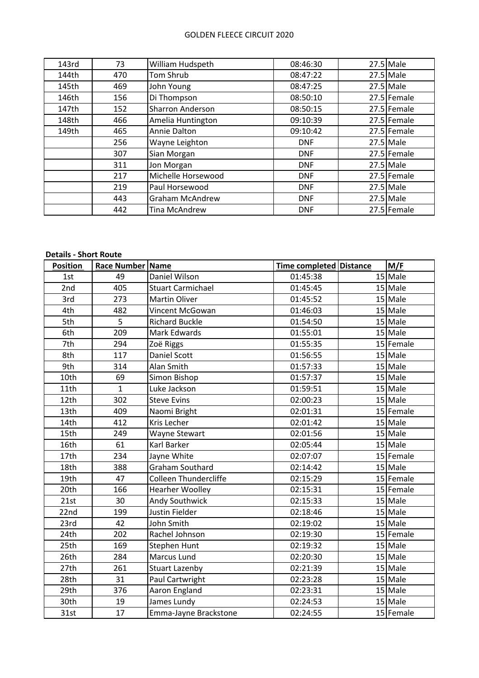| 143rd | 73  | William Hudspeth       | 08:46:30   | $27.5$ Male |
|-------|-----|------------------------|------------|-------------|
| 144th | 470 | Tom Shrub              | 08:47:22   | $27.5$ Male |
| 145th | 469 | John Young             | 08:47:25   | $27.5$ Male |
| 146th | 156 | Di Thompson            | 08:50:10   | 27.5 Female |
| 147th | 152 | Sharron Anderson       | 08:50:15   | 27.5 Female |
| 148th | 466 | Amelia Huntington      | 09:10:39   | 27.5 Female |
| 149th | 465 | Annie Dalton           | 09:10:42   | 27.5 Female |
|       | 256 | Wayne Leighton         | <b>DNF</b> | $27.5$ Male |
|       | 307 | Sian Morgan            | <b>DNF</b> | 27.5 Female |
|       | 311 | Jon Morgan             | <b>DNF</b> | $27.5$ Male |
|       | 217 | Michelle Horsewood     | <b>DNF</b> | 27.5 Female |
|       | 219 | Paul Horsewood         | <b>DNF</b> | $27.5$ Male |
|       | 443 | <b>Graham McAndrew</b> | <b>DNF</b> | $27.5$ Male |
|       | 442 | Tina McAndrew          | <b>DNF</b> | 27.5 Female |

# **Details - Short Route**

| <b>Position</b>  | Race Number Name |                              | Time completed Distance | M/F       |
|------------------|------------------|------------------------------|-------------------------|-----------|
| 1st              | 49               | Daniel Wilson                | 01:45:38                | 15 Male   |
| 2nd              | 405              | <b>Stuart Carmichael</b>     | 01:45:45                | 15 Male   |
| 3rd              | 273              | <b>Martin Oliver</b>         | 01:45:52                | $15$ Male |
| 4th              | 482              | Vincent McGowan              | 01:46:03                | 15 Male   |
| 5th              | 5                | <b>Richard Buckle</b>        | 01:54:50                | 15 Male   |
| 6th              | 209              | Mark Edwards                 | 01:55:01                | 15 Male   |
| 7th              | 294              | Zoë Riggs                    | 01:55:35                | 15 Female |
| 8th              | 117              | <b>Daniel Scott</b>          | 01:56:55                | 15 Male   |
| 9th              | 314              | Alan Smith                   | 01:57:33                | 15 Male   |
| 10th             | 69               | Simon Bishop                 | 01:57:37                | $15$ Male |
| 11th             | $\mathbf{1}$     | Luke Jackson                 | 01:59:51                | $15$ Male |
| 12th             | 302              | <b>Steve Evins</b>           | 02:00:23                | 15 Male   |
| 13 <sub>th</sub> | 409              | Naomi Bright                 | 02:01:31                | 15 Female |
| 14th             | 412              | Kris Lecher                  | 02:01:42                | 15 Male   |
| 15th             | 249              | Wayne Stewart                | 02:01:56                | 15 Male   |
| 16th             | 61               | Karl Barker                  | 02:05:44                | 15 Male   |
| 17th             | 234              | Jayne White                  | 02:07:07                | 15 Female |
| 18th             | 388              | <b>Graham Southard</b>       | 02:14:42                | $15$ Male |
| 19th             | 47               | <b>Colleen Thundercliffe</b> | 02:15:29                | 15 Female |
| 20th             | 166              | <b>Hearher Woolley</b>       | 02:15:31                | 15 Female |
| 21st             | 30               | Andy Southwick               | 02:15:33                | 15 Male   |
| 22nd             | 199              | Justin Fielder               | 02:18:46                | $15$ Male |
| 23rd             | 42               | John Smith                   | 02:19:02                | 15 Male   |
| 24th             | 202              | Rachel Johnson               | 02:19:30                | 15 Female |
| 25th             | 169              | <b>Stephen Hunt</b>          | 02:19:32                | 15 Male   |
| 26th             | 284              | <b>Marcus Lund</b>           | 02:20:30                | 15 Male   |
| 27th             | 261              | <b>Stuart Lazenby</b>        | 02:21:39                | $15$ Male |
| 28th             | 31               | Paul Cartwright              | 02:23:28                | $15$ Male |
| 29th             | 376              | Aaron England                | 02:23:31                | 15 Male   |
| 30th             | 19               | James Lundy                  | 02:24:53                | 15 Male   |
| 31st             | 17               | Emma-Jayne Brackstone        | 02:24:55                | 15 Female |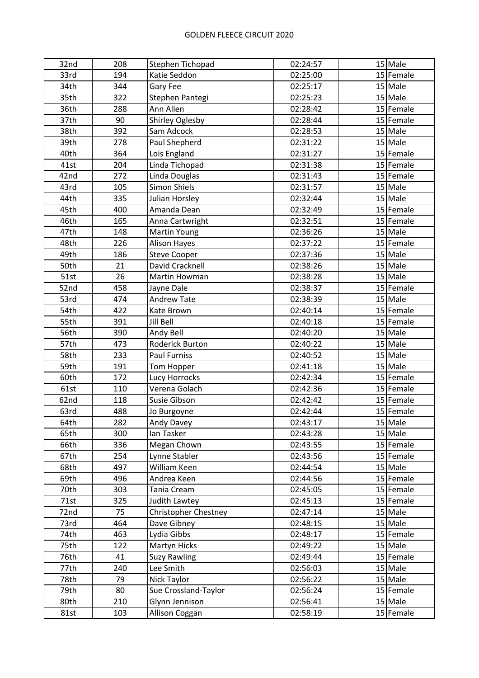| 32nd | 208 | Stephen Tichopad       | 02:24:57 | 15 Male     |
|------|-----|------------------------|----------|-------------|
| 33rd | 194 | Katie Seddon           | 02:25:00 | 15 Female   |
| 34th | 344 | Gary Fee               | 02:25:17 | 15 Male     |
| 35th | 322 | Stephen Pantegi        | 02:25:23 | 15 Male     |
| 36th | 288 | Ann Allen              | 02:28:42 | 15 Female   |
| 37th | 90  | <b>Shirley Oglesby</b> | 02:28:44 | 15 Female   |
| 38th | 392 | Sam Adcock             | 02:28:53 | 15 Male     |
| 39th | 278 | Paul Shepherd          | 02:31:22 | 15 Male     |
| 40th | 364 | Lois England           | 02:31:27 | $15$ Female |
| 41st | 204 | Linda Tichopad         | 02:31:38 | 15 Female   |
| 42nd | 272 | Linda Douglas          | 02:31:43 | 15 Female   |
| 43rd | 105 | <b>Simon Shiels</b>    | 02:31:57 | 15 Male     |
| 44th | 335 | Julian Horsley         | 02:32:44 | 15 Male     |
| 45th | 400 | Amanda Dean            | 02:32:49 | 15 Female   |
| 46th | 165 | Anna Cartwright        | 02:32:51 | 15 Female   |
| 47th | 148 | <b>Martin Young</b>    | 02:36:26 | 15 Male     |
| 48th | 226 | <b>Alison Hayes</b>    | 02:37:22 | 15 Female   |
| 49th | 186 | <b>Steve Cooper</b>    | 02:37:36 | 15 Male     |
| 50th | 21  | David Cracknell        | 02:38:26 | 15 Male     |
| 51st | 26  | Martin Howman          | 02:38:28 | 15 Male     |
| 52nd | 458 | Jayne Dale             | 02:38:37 | 15 Female   |
| 53rd | 474 | <b>Andrew Tate</b>     | 02:38:39 | 15 Male     |
| 54th | 422 | Kate Brown             | 02:40:14 | 15 Female   |
| 55th | 391 | Jill Bell              | 02:40:18 | 15 Female   |
| 56th | 390 | Andy Bell              | 02:40:20 | 15 Male     |
| 57th | 473 | Roderick Burton        | 02:40:22 | $15$ Male   |
| 58th | 233 | <b>Paul Furniss</b>    | 02:40:52 | 15 Male     |
| 59th | 191 | Tom Hopper             | 02:41:18 | 15 Male     |
| 60th | 172 | <b>Lucy Horrocks</b>   | 02:42:34 | 15 Female   |
| 61st | 110 | Verena Golach          | 02:42:36 | 15 Female   |
| 62nd | 118 | Susie Gibson           | 02:42:42 | 15 Female   |
| 63rd | 488 | Jo Burgoyne            | 02:42:44 | 15 Female   |
| 64th | 282 | Andy Davey             | 02:43:17 | $15$ Male   |
| 65th | 300 | lan Tasker             | 02:43:28 | $15$ Male   |
| 66th | 336 | Megan Chown            | 02:43:55 | 15 Female   |
| 67th | 254 | Lynne Stabler          | 02:43:56 | 15 Female   |
| 68th | 497 | William Keen           | 02:44:54 | 15 Male     |
| 69th | 496 | Andrea Keen            | 02:44:56 | 15 Female   |
| 70th | 303 | Tania Cream            | 02:45:05 | 15 Female   |
| 71st | 325 | Judith Lawtey          | 02:45:13 | 15 Female   |
| 72nd | 75  | Christopher Chestney   | 02:47:14 | 15 Male     |
| 73rd | 464 | Dave Gibney            | 02:48:15 | $15$ Male   |
| 74th | 463 | Lydia Gibbs            | 02:48:17 | 15 Female   |
| 75th | 122 | Martyn Hicks           | 02:49:22 | 15 Male     |
| 76th | 41  | <b>Suzy Rawling</b>    | 02:49:44 | $15$ Female |
| 77th | 240 | Lee Smith              | 02:56:03 | 15 Male     |
| 78th | 79  | Nick Taylor            | 02:56:22 | $15$ Male   |
| 79th | 80  | Sue Crossland-Taylor   | 02:56:24 | 15 Female   |
| 80th | 210 | Glynn Jennison         | 02:56:41 | $15$ Male   |
| 81st | 103 | Allison Coggan         | 02:58:19 | 15 Female   |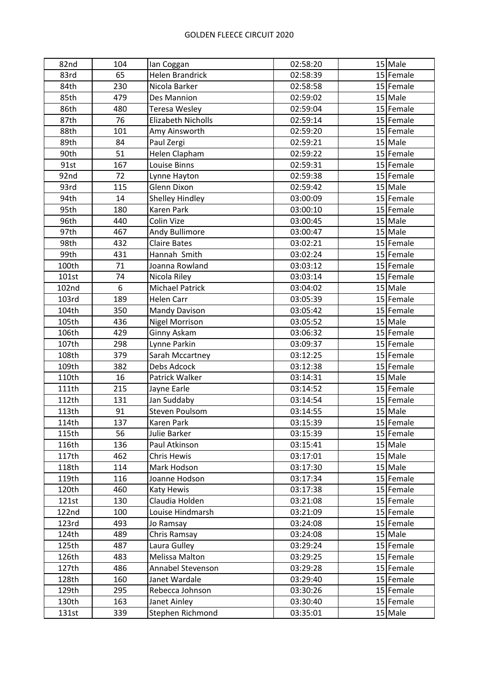| 82nd  | 104 | lan Coggan             | 02:58:20 | 15 Male   |
|-------|-----|------------------------|----------|-----------|
| 83rd  | 65  | <b>Helen Brandrick</b> | 02:58:39 | 15 Female |
| 84th  | 230 | Nicola Barker          | 02:58:58 | 15 Female |
| 85th  | 479 | Des Mannion            | 02:59:02 | 15 Male   |
| 86th  | 480 | <b>Teresa Wesley</b>   | 02:59:04 | 15 Female |
| 87th  | 76  | Elizabeth Nicholls     | 02:59:14 | 15 Female |
| 88th  | 101 | Amy Ainsworth          | 02:59:20 | 15 Female |
| 89th  | 84  | Paul Zergi             | 02:59:21 | 15 Male   |
| 90th  | 51  | Helen Clapham          | 02:59:22 | 15 Female |
| 91st  | 167 | Louise Binns           | 02:59:31 | 15 Female |
| 92nd  | 72  | Lynne Hayton           | 02:59:38 | 15 Female |
| 93rd  | 115 | Glenn Dixon            | 02:59:42 | 15 Male   |
| 94th  | 14  | Shelley Hindley        | 03:00:09 | 15 Female |
| 95th  | 180 | <b>Karen Park</b>      | 03:00:10 | 15 Female |
| 96th  | 440 | Colin Vize             | 03:00:45 | 15 Male   |
| 97th  | 467 | Andy Bullimore         | 03:00:47 | 15 Male   |
| 98th  | 432 | <b>Claire Bates</b>    | 03:02:21 | 15 Female |
| 99th  | 431 | Hannah Smith           | 03:02:24 | 15 Female |
| 100th | 71  | Joanna Rowland         | 03:03:12 | 15 Female |
| 101st | 74  | Nicola Riley           | 03:03:14 | 15 Female |
| 102nd | 6   | <b>Michael Patrick</b> | 03:04:02 | 15 Male   |
| 103rd | 189 | <b>Helen Carr</b>      | 03:05:39 | 15 Female |
| 104th | 350 | Mandy Davison          | 03:05:42 | 15 Female |
| 105th | 436 | <b>Nigel Morrison</b>  | 03:05:52 | 15 Male   |
| 106th | 429 | Ginny Askam            | 03:06:32 | 15 Female |
| 107th | 298 | Lynne Parkin           | 03:09:37 | 15 Female |
| 108th | 379 | Sarah Mccartney        | 03:12:25 | 15 Female |
| 109th | 382 | Debs Adcock            | 03:12:38 | 15 Female |
| 110th | 16  | Patrick Walker         | 03:14:31 | 15 Male   |
| 111th | 215 | Jayne Earle            | 03:14:52 | 15 Female |
| 112th | 131 | Jan Suddaby            | 03:14:54 | 15 Female |
| 113th | 91  | <b>Steven Poulsom</b>  | 03:14:55 | 15 Male   |
| 114th | 137 | Karen Park             | 03:15:39 | 15 Female |
| 115th | 56  | Julie Barker           | 03:15:39 | 15 Female |
| 116th | 136 | Paul Atkinson          | 03:15:41 | $15$ Male |
| 117th | 462 | Chris Hewis            | 03:17:01 | $15$ Male |
| 118th | 114 | Mark Hodson            | 03:17:30 | $15$ Male |
| 119th | 116 | Joanne Hodson          | 03:17:34 | 15 Female |
| 120th | 460 | Katy Hewis             | 03:17:38 | 15 Female |
| 121st | 130 | Claudia Holden         | 03:21:08 | 15 Female |
| 122nd | 100 | Louise Hindmarsh       | 03:21:09 | 15 Female |
| 123rd | 493 | Jo Ramsay              | 03:24:08 | 15 Female |
| 124th | 489 | Chris Ramsay           | 03:24:08 | $15$ Male |
| 125th | 487 | Laura Gulley           | 03:29:24 | 15 Female |
| 126th | 483 | Melissa Malton         | 03:29:25 | 15 Female |
| 127th | 486 | Annabel Stevenson      | 03:29:28 | 15 Female |
| 128th | 160 | Janet Wardale          | 03:29:40 | 15 Female |
| 129th | 295 | Rebecca Johnson        | 03:30:26 | 15 Female |
| 130th | 163 | Janet Ainley           | 03:30:40 | 15 Female |
| 131st | 339 | Stephen Richmond       | 03:35:01 | $15$ Male |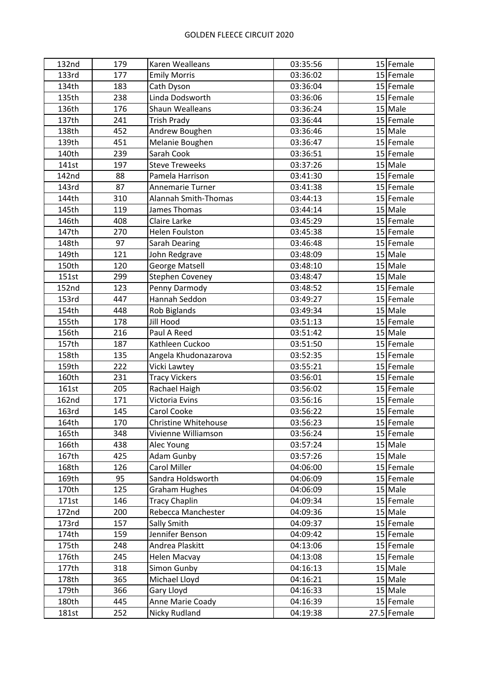| 132nd        | 179 | Karen Wealleans        | 03:35:56 | 15 Female   |
|--------------|-----|------------------------|----------|-------------|
| 133rd        | 177 | <b>Emily Morris</b>    | 03:36:02 | 15 Female   |
| 134th        | 183 | Cath Dyson             | 03:36:04 | 15 Female   |
| 135th        | 238 | Linda Dodsworth        | 03:36:06 | 15 Female   |
| 136th        | 176 | Shaun Wealleans        | 03:36:24 | 15 Male     |
| 137th        | 241 | <b>Trish Prady</b>     | 03:36:44 | 15 Female   |
| 138th        | 452 | Andrew Boughen         | 03:36:46 | $15$ Male   |
| 139th        | 451 | Melanie Boughen        | 03:36:47 | 15 Female   |
| 140th        | 239 | Sarah Cook             | 03:36:51 | 15 Female   |
| 141st        | 197 | <b>Steve Treweeks</b>  | 03:37:26 | 15 Male     |
| 142nd        | 88  | Pamela Harrison        | 03:41:30 | 15 Female   |
| 143rd        | 87  | Annemarie Turner       | 03:41:38 | 15 Female   |
| 144th        | 310 | Alannah Smith-Thomas   | 03:44:13 | 15 Female   |
| 145th        | 119 | James Thomas           | 03:44:14 | 15 Male     |
| 146th        | 408 | Claire Larke           | 03:45:29 | 15 Female   |
| 147th        | 270 | <b>Helen Foulston</b>  | 03:45:38 | 15 Female   |
| 148th        | 97  | Sarah Dearing          | 03:46:48 | 15 Female   |
| 149th        | 121 | John Redgrave          | 03:48:09 | 15 Male     |
| 150th        | 120 | <b>George Matsell</b>  | 03:48:10 | 15 Male     |
| 151st        | 299 | <b>Stephen Coveney</b> | 03:48:47 | $15$ Male   |
| <b>152nd</b> | 123 | Penny Darmody          | 03:48:52 | 15 Female   |
| 153rd        | 447 | Hannah Seddon          | 03:49:27 | 15 Female   |
| 154th        | 448 | Rob Biglands           | 03:49:34 | $15$ Male   |
| 155th        | 178 | Jill Hood              | 03:51:13 | 15 Female   |
| 156th        | 216 | Paul A Reed            | 03:51:42 | $15$ Male   |
| 157th        | 187 | Kathleen Cuckoo        | 03:51:50 | 15 Female   |
| 158th        | 135 | Angela Khudonazarova   | 03:52:35 | 15 Female   |
| 159th        | 222 | Vicki Lawtey           | 03:55:21 | 15 Female   |
| 160th        | 231 | <b>Tracy Vickers</b>   | 03:56:01 | 15 Female   |
| 161st        | 205 | Rachael Haigh          | 03:56:02 | 15 Female   |
| <b>162nd</b> | 171 | Victoria Evins         | 03:56:16 | 15 Female   |
| 163rd        | 145 | Carol Cooke            | 03:56:22 | 15 Female   |
| 164th        | 170 | Christine Whitehouse   | 03:56:23 | 15 Female   |
| 165th        | 348 | Vivienne Williamson    | 03:56:24 | 15 Female   |
| 166th        | 438 | Alec Young             | 03:57:24 | 15 Male     |
| 167th        | 425 | Adam Gunby             | 03:57:26 | $15$ Male   |
| 168th        | 126 | Carol Miller           | 04:06:00 | 15 Female   |
| 169th        | 95  | Sandra Holdsworth      | 04:06:09 | 15 Female   |
| 170th        | 125 | <b>Graham Hughes</b>   | 04:06:09 | $15$ Male   |
| 171st        | 146 | <b>Tracy Chaplin</b>   | 04:09:34 | 15 Female   |
| 172nd        | 200 | Rebecca Manchester     | 04:09:36 | 15 Male     |
| 173rd        | 157 | Sally Smith            | 04:09:37 | 15 Female   |
| 174th        | 159 | Jennifer Benson        | 04:09:42 | 15 Female   |
| 175th        | 248 | Andrea Plaskitt        | 04:13:06 | 15 Female   |
| 176th        | 245 | Helen Macvay           | 04:13:08 | 15 Female   |
| 177th        | 318 | Simon Gunby            | 04:16:13 | $15$ Male   |
| 178th        | 365 | Michael Lloyd          | 04:16:21 | $15$ Male   |
| 179th        | 366 | Gary Lloyd             | 04:16:33 | $15$ Male   |
| 180th        | 445 | Anne Marie Coady       | 04:16:39 | 15 Female   |
| 181st        | 252 | Nicky Rudland          | 04:19:38 | 27.5 Female |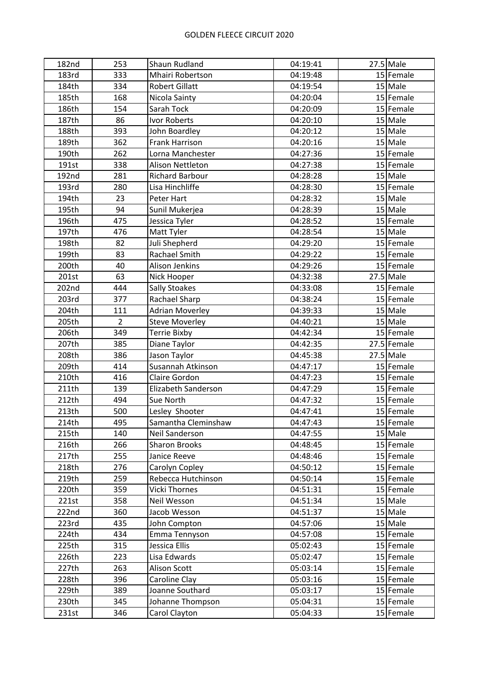| 182nd | 253            | Shaun Rudland          | 04:19:41 | $27.5$ Male |
|-------|----------------|------------------------|----------|-------------|
| 183rd | 333            | Mhairi Robertson       | 04:19:48 | 15 Female   |
| 184th | 334            | <b>Robert Gillatt</b>  | 04:19:54 | $15$ Male   |
| 185th | 168            | Nicola Sainty          | 04:20:04 | 15 Female   |
| 186th | 154            | Sarah Tock             | 04:20:09 | 15 Female   |
| 187th | 86             | Ivor Roberts           | 04:20:10 | $15$ Male   |
| 188th | 393            | John Boardley          | 04:20:12 | $15$ Male   |
| 189th | 362            | Frank Harrison         | 04:20:16 | $15$ Male   |
| 190th | 262            | Lorna Manchester       | 04:27:36 | 15 Female   |
| 191st | 338            | Alison Nettleton       | 04:27:38 | 15 Female   |
| 192nd | 281            | <b>Richard Barbour</b> | 04:28:28 | $15$ Male   |
| 193rd | 280            | Lisa Hinchliffe        | 04:28:30 | $15$ Female |
| 194th | 23             | Peter Hart             | 04:28:32 | $15$ Male   |
| 195th | 94             | Sunil Mukerjea         | 04:28:39 | $15$ Male   |
| 196th | 475            | Jessica Tyler          | 04:28:52 | 15 Female   |
| 197th | 476            | Matt Tyler             | 04:28:54 | $15$ Male   |
| 198th | 82             | Juli Shepherd          | 04:29:20 | 15 Female   |
| 199th | 83             | <b>Rachael Smith</b>   | 04:29:22 | 15 Female   |
| 200th | 40             | Alison Jenkins         | 04:29:26 | 15 Female   |
| 201st | 63             | Nick Hooper            | 04:32:38 | $27.5$ Male |
| 202nd | 444            | <b>Sally Stoakes</b>   | 04:33:08 | 15 Female   |
| 203rd | 377            | Rachael Sharp          | 04:38:24 | 15 Female   |
| 204th | 111            | <b>Adrian Moverley</b> | 04:39:33 | $15$ Male   |
| 205th | $\overline{2}$ | <b>Steve Moverley</b>  | 04:40:21 | $15$ Male   |
| 206th | 349            | <b>Terrie Bixby</b>    | 04:42:34 | 15 Female   |
| 207th | 385            | Diane Taylor           | 04:42:35 | 27.5 Female |
| 208th | 386            | Jason Taylor           | 04:45:38 | $27.5$ Male |
| 209th | 414            | Susannah Atkinson      | 04:47:17 | 15 Female   |
| 210th | 416            | Claire Gordon          | 04:47:23 | 15 Female   |
| 211th | 139            | Elizabeth Sanderson    | 04:47:29 | 15 Female   |
| 212th | 494            | Sue North              | 04:47:32 | 15 Female   |
| 213th | 500            | Lesley Shooter         | 04:47:41 | 15 Female   |
| 214th | 495            | Samantha Cleminshaw    | 04:47:43 | 15 Female   |
| 215th | 140            | Neil Sanderson         | 04:47:55 | $15$ Male   |
| 216th | 266            | <b>Sharon Brooks</b>   | 04:48:45 | 15 Female   |
| 217th | 255            | Janice Reeve           | 04:48:46 | 15 Female   |
| 218th | 276            | Carolyn Copley         | 04:50:12 | 15 Female   |
| 219th | 259            | Rebecca Hutchinson     | 04:50:14 | 15 Female   |
| 220th | 359            | Vicki Thornes          | 04:51:31 | 15 Female   |
| 221st | 358            | Neil Wesson            | 04:51:34 | $15$ Male   |
| 222nd | 360            | Jacob Wesson           | 04:51:37 | $15$ Male   |
| 223rd | 435            | John Compton           | 04:57:06 | $15$ Male   |
| 224th | 434            | Emma Tennyson          | 04:57:08 | 15 Female   |
| 225th | 315            | Jessica Ellis          | 05:02:43 | 15 Female   |
| 226th | 223            | Lisa Edwards           | 05:02:47 | 15 Female   |
| 227th | 263            | Alison Scott           | 05:03:14 | 15 Female   |
| 228th | 396            | Caroline Clay          | 05:03:16 | 15 Female   |
| 229th | 389            | Joanne Southard        | 05:03:17 | 15 Female   |
| 230th | 345            | Johanne Thompson       | 05:04:31 | 15 Female   |
| 231st | 346            | Carol Clayton          | 05:04:33 | 15 Female   |